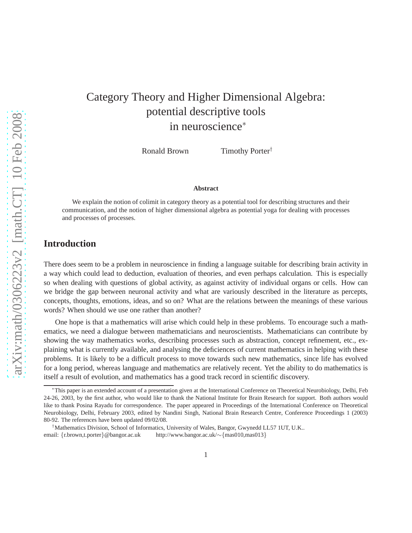# Category Theory and Higher Dimensional Algebra: potential descriptive tools in neuroscience<sup>∗</sup>

Ronald Brown Timothy Porter<sup>†</sup>

#### **Abstract**

We explain the notion of colimit in category theory as a potential tool for describing structures and their communication, and the notion of higher dimensional algebra as potential yoga for dealing with processes and processes of processes.

# **Introduction**

There does seem to be a problem in neuroscience in finding a language suitable for describing brain activity in a way which could lead to deduction, evaluation of theories, and even perhaps calculation. This is especially so when dealing with questions of global activity, as against activity of individual organs or cells. How can we bridge the gap between neuronal activity and what are variously described in the literature as percepts, concepts, thoughts, emotions, ideas, and so on? What are the relations between the meanings of these various words? When should we use one rather than another?

One hope is that a mathematics will arise which could help in these problems. To encourage such a mathematics, we need a dialogue between mathematicians and neuroscientists. Mathematicians can contribute by showing the way mathematics works, describing processes such as abstraction, concept refinement, etc., explaining what is currently available, and analysing the deficiences of current mathematics in helping with these problems. It is likely to be a difficult process to move towards such new mathematics, since life has evolved for a long period, whereas language and mathematics are relatively recent. Yet the ability to do mathematics is itself a result of evolution, and mathematics has a good track record in scientific discovery.

<sup>∗</sup>This paper is an extended account of a presentation given at the International Conference on Theoretical Neurobiology, Delhi, Feb 24-26, 2003, by the first author, who would like to thank the National Institute for Brain Research for support. Both authors would like to thank Posina Rayadu for correspondence. The paper appeared in Proceedings of the International Conference on Theoretical Neurobiology, Delhi, February 2003, edited by Nandini Singh, National Brain Research Centre, Conference Proceedings 1 (2003) 80-92. The references have been updated 09/02/08.

<sup>†</sup>Mathematics Division, School of Informatics, University of Wales, Bangor, Gwynedd LL57 1UT, U.K.. email: {r.brown,t.porter}@bangor.ac.uk http://www.bangor.ac.uk/∼{mas010,mas013}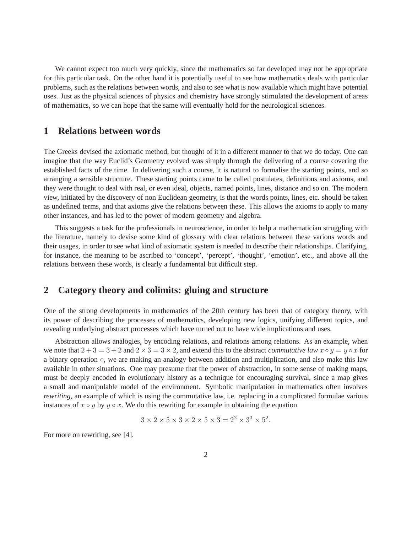We cannot expect too much very quickly, since the mathematics so far developed may not be appropriate for this particular task. On the other hand it is potentially useful to see how mathematics deals with particular problems, such as the relations between words, and also to see what is now available which might have potential uses. Just as the physical sciences of physics and chemistry have strongly stimulated the development of areas of mathematics, so we can hope that the same will eventually hold for the neurological sciences.

## **1 Relations between words**

The Greeks devised the axiomatic method, but thought of it in a different manner to that we do today. One can imagine that the way Euclid's Geometry evolved was simply through the delivering of a course covering the established facts of the time. In delivering such a course, it is natural to formalise the starting points, and so arranging a sensible structure. These starting points came to be called postulates, definitions and axioms, and they were thought to deal with real, or even ideal, objects, named points, lines, distance and so on. The modern view, initiated by the discovery of non Euclidean geometry, is that the words points, lines, etc. should be taken as undefined terms, and that axioms give the relations between these. This allows the axioms to apply to many other instances, and has led to the power of modern geometry and algebra.

This suggests a task for the professionals in neuroscience, in order to help a mathematician struggling with the literature, namely to devise some kind of glossary with clear relations between these various words and their usages, in order to see what kind of axiomatic system is needed to describe their relationships. Clarifying, for instance, the meaning to be ascribed to 'concept', 'percept', 'thought', 'emotion', etc., and above all the relations between these words, is clearly a fundamental but difficult step.

## **2 Category theory and colimits: gluing and structure**

One of the strong developments in mathematics of the 20th century has been that of category theory, with its power of describing the processes of mathematics, developing new logics, unifying different topics, and revealing underlying abstract processes which have turned out to have wide implications and uses.

Abstraction allows analogies, by encoding relations, and relations among relations. As an example, when we note that  $2+3=3+2$  and  $2\times3=3\times2$ , and extend this to the abstract *commutative law*  $x\circ y = y\circ x$  for a binary operation ◦, we are making an analogy between addition and multiplication, and also make this law available in other situations. One may presume that the power of abstraction, in some sense of making maps, must be deeply encoded in evolutionary history as a technique for encouraging survival, since a map gives a small and manipulable model of the environment. Symbolic manipulation in mathematics often involves *rewriting*, an example of which is using the commutative law, i.e. replacing in a complicated formulae various instances of  $x \circ y$  by  $y \circ x$ . We do this rewriting for example in obtaining the equation

$$
3 \times 2 \times 5 \times 3 \times 2 \times 5 \times 3 = 2^2 \times 3^3 \times 5^2.
$$

For more on rewriting, see [4].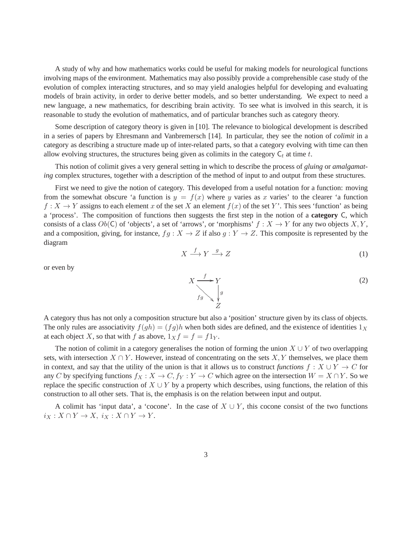A study of why and how mathematics works could be useful for making models for neurological functions involving maps of the environment. Mathematics may also possibly provide a comprehensible case study of the evolution of complex interacting structures, and so may yield analogies helpful for developing and evaluating models of brain activity, in order to derive better models, and so better understanding. We expect to need a new language, a new mathematics, for describing brain activity. To see what is involved in this search, it is reasonable to study the evolution of mathematics, and of particular branches such as category theory.

Some description of category theory is given in [10]. The relevance to biological development is described in a series of papers by Ehresmann and Vanbremersch [14]. In particular, they see the notion of *colimit* in a category as describing a structure made up of inter-related parts, so that a category evolving with time can then allow evolving structures, the structures being given as colimits in the category  $C_t$  at time t.

This notion of colimit gives a very general setting in which to describe the process of *gluing* or *amalgamating* complex structures, together with a description of the method of input to and output from these structures.

First we need to give the notion of category. This developed from a useful notation for a function: moving from the somewhat obscure 'a function is  $y = f(x)$  where y varies as x varies' to the clearer 'a function  $f: X \to Y$  assigns to each element x of the set X an element  $f(x)$  of the set Y'. This sees 'function' as being a 'process'. The composition of functions then suggests the first step in the notion of a **category** C, which consists of a class  $Ob(C)$  of 'objects', a set of 'arrows', or 'morphisms'  $f : X \to Y$  for any two objects X, Y, and a composition, giving, for instance,  $fg : X \to Z$  if also  $g : Y \to Z$ . This composite is represented by the diagram

$$
X \xrightarrow{f} Y \xrightarrow{g} Z \tag{1}
$$

or even by

A category thus has not only a composition structure but also a 'position' structure given by its class of objects. The only rules are associativity  $f(gh) = (fg)h$  when both sides are defined, and the existence of identities  $1_X$ at each object X, so that with f as above,  $1_X f = f = f 1_Y$ .

The notion of colimit in a category generalises the notion of forming the union  $X \cup Y$  of two overlapping sets, with intersection  $X \cap Y$ . However, instead of concentrating on the sets X, Y themselves, we place them in context, and say that the utility of the union is that it allows us to construct *functions*  $f : X \cup Y \to C$  for any C by specifying functions  $f_X : X \to C$ ,  $f_Y : Y \to C$  which agree on the intersection  $W = X \cap Y$ . So we replace the specific construction of  $X \cup Y$  by a property which describes, using functions, the relation of this construction to all other sets. That is, the emphasis is on the relation between input and output.

A colimit has 'input data', a 'cocone'. In the case of  $X \cup Y$ , this cocone consist of the two functions  $i_X: X \cap Y \to X$ ,  $i_X: X \cap Y \to Y$ .

 $X \xrightarrow{f}$  $f_g \rightarrow Y$ g  $\frac{1}{2}$ Z (2)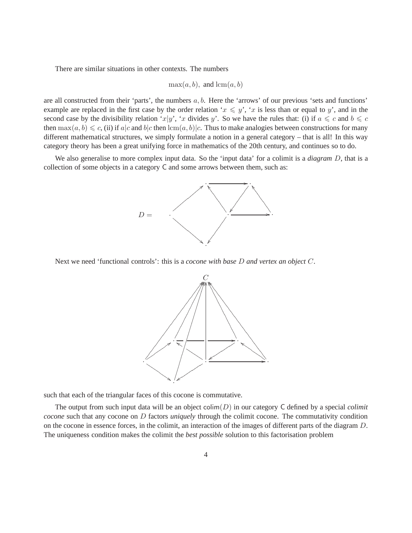There are similar situations in other contexts. The numbers

$$
\max(a, b), \text{ and } \operatorname{lcm}(a, b)
$$

are all constructed from their 'parts', the numbers  $a, b$ . Here the 'arrows' of our previous 'sets and functions' example are replaced in the first case by the order relation ' $x \leq y'$ , 'x is less than or equal to y', and in the second case by the divisibility relation 'x|y', 'x divides y'. So we have the rules that: (i) if  $a \leq c$  and  $b \leq c$ then  $\max(a, b) \leq c$ , (ii) if a|c and b|c then  $\text{lcm}(a, b)$ |c. Thus to make analogies between constructions for many different mathematical structures, we simply formulate a notion in a general category – that is all! In this way category theory has been a great unifying force in mathematics of the 20th century, and continues so to do.

We also generalise to more complex input data. So the 'input data' for a colimit is a *diagram* D, that is a collection of some objects in a category C and some arrows between them, such as:



Next we need 'functional controls': this is a *cocone with base* D *and vertex an object* C.



such that each of the triangular faces of this cocone is commutative.

The output from such input data will be an object colim(D) in our category C defined by a special *colimit cocone* such that any cocone on D factors *uniquely* through the colimit cocone. The commutativity condition on the cocone in essence forces, in the colimit, an interaction of the images of different parts of the diagram D. The uniqueness condition makes the colimit the *best possible* solution to this factorisation problem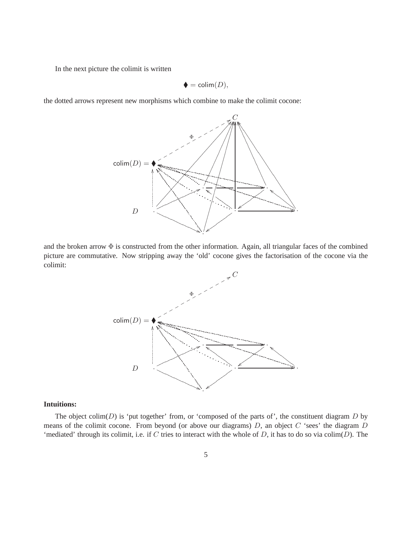In the next picture the colimit is written

$$
\blacklozenge = \text{colim}(D),
$$

the dotted arrows represent new morphisms which combine to make the colimit cocone:



and the broken arrow  $\Phi$  is constructed from the other information. Again, all triangular faces of the combined picture are commutative. Now stripping away the 'old' cocone gives the factorisation of the cocone via the colimit:



## **Intuitions:**

The object colim( $D$ ) is 'put together' from, or 'composed of the parts of', the constituent diagram  $D$  by means of the colimit cocone. From beyond (or above our diagrams)  $D$ , an object  $C$  'sees' the diagram  $D$ 'mediated' through its colimit, i.e. if  $C$  tries to interact with the whole of  $D$ , it has to do so via colim $(D)$ . The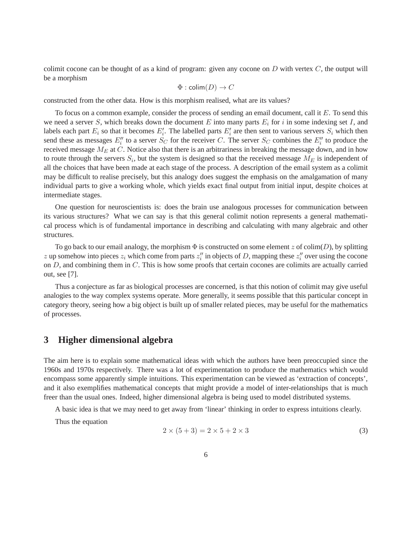colimit cocone can be thought of as a kind of program: given any cocone on  $D$  with vertex  $C$ , the output will be a morphism

$$
\Phi : \text{colim}(D) \to C
$$

constructed from the other data. How is this morphism realised, what are its values?

To focus on a common example, consider the process of sending an email document, call it E. To send this we need a server S, which breaks down the document E into many parts  $E_i$  for i in some indexing set I, and labels each part  $E_i$  so that it becomes  $E'_i$ . The labelled parts  $E'_i$  are then sent to various servers  $S_i$  which then send these as messages  $E''_i$  to a server  $S_C$  for the receiver C. The server  $S_C$  combines the  $E''_i$  to produce the received message  $M_E$  at C. Notice also that there is an arbitrariness in breaking the message down, and in how to route through the servers  $S_i$ , but the system is designed so that the received message  $M_E$  is independent of all the choices that have been made at each stage of the process. A description of the email system as a colimit may be difficult to realise precisely, but this analogy does suggest the emphasis on the amalgamation of many individual parts to give a working whole, which yields exact final output from initial input, despite choices at intermediate stages.

One question for neuroscientists is: does the brain use analogous processes for communication between its various structures? What we can say is that this general colimit notion represents a general mathematical process which is of fundamental importance in describing and calculating with many algebraic and other structures.

To go back to our email analogy, the morphism  $\Phi$  is constructed on some element z of colim(D), by splitting z up somehow into pieces  $z_i$  which come from parts  $z_i''$  in objects of D, mapping these  $z_i''$  over using the cocone on  $D$ , and combining them in  $C$ . This is how some proofs that certain cocones are colimits are actually carried out, see [7].

Thus a conjecture as far as biological processes are concerned, is that this notion of colimit may give useful analogies to the way complex systems operate. More generally, it seems possible that this particular concept in category theory, seeing how a big object is built up of smaller related pieces, may be useful for the mathematics of processes.

## **3 Higher dimensional algebra**

The aim here is to explain some mathematical ideas with which the authors have been preoccupied since the 1960s and 1970s respectively. There was a lot of experimentation to produce the mathematics which would encompass some apparently simple intuitions. This experimentation can be viewed as 'extraction of concepts', and it also exemplifies mathematical concepts that might provide a model of inter-relationships that is much freer than the usual ones. Indeed, higher dimensional algebra is being used to model distributed systems.

A basic idea is that we may need to get away from 'linear' thinking in order to express intuitions clearly.

Thus the equation

$$
2 \times (5+3) = 2 \times 5 + 2 \times 3 \tag{3}
$$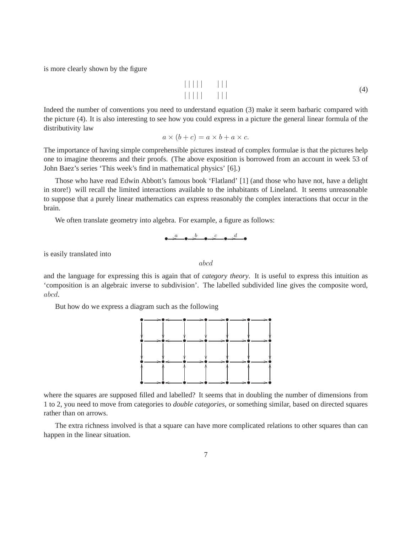is more clearly shown by the figure

| | | | | | | | | | | | | | | | (4)

Indeed the number of conventions you need to understand equation (3) make it seem barbaric compared with the picture (4). It is also interesting to see how you could express in a picture the general linear formula of the distributivity law

$$
a \times (b + c) = a \times b + a \times c.
$$

The importance of having simple comprehensible pictures instead of complex formulae is that the pictures help one to imagine theorems and their proofs. (The above exposition is borrowed from an account in week 53 of John Baez's series 'This week's find in mathematical physics' [6].)

Those who have read Edwin Abbott's famous book 'Flatland' [1] (and those who have not, have a delight in store!) will recall the limited interactions available to the inhabitants of Lineland. It seems unreasonable to suppose that a purely linear mathematics can express reasonably the complex interactions that occur in the brain.

We often translate geometry into algebra. For example, a figure as follows:

$$
\bullet \xrightarrow{a} \bullet \xrightarrow{b} \bullet \xrightarrow{c} \bullet \xrightarrow{d} \bullet
$$

is easily translated into

and the language for expressing this is again that of *category theory*. It is useful to express this intuition as 'composition is an algebraic inverse to subdivision'. The labelled subdivided line gives the composite word, abcd.

abcd

But how do we express a diagram such as the following



where the squares are supposed filled and labelled? It seems that in doubling the number of dimensions from 1 to 2, you need to move from categories to *double categories*, or something similar, based on directed squares rather than on arrows.

The extra richness involved is that a square can have more complicated relations to other squares than can happen in the linear situation.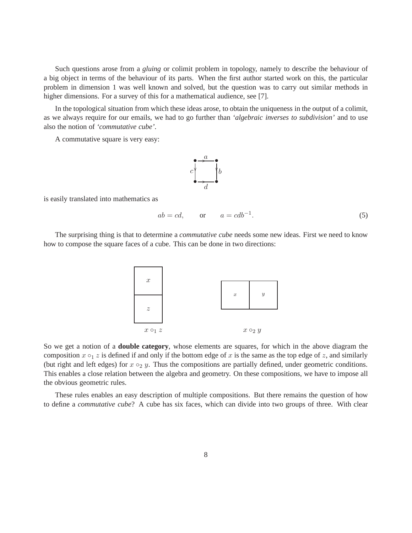Such questions arose from a *gluing* or colimit problem in topology, namely to describe the behaviour of a big object in terms of the behaviour of its parts. When the first author started work on this, the particular problem in dimension 1 was well known and solved, but the question was to carry out similar methods in higher dimensions. For a survey of this for a mathematical audience, see [7].

In the topological situation from which these ideas arose, to obtain the uniqueness in the output of a colimit, as we always require for our emails, we had to go further than *'algebraic inverses to subdivision'* and to use also the notion of *'commutative cube'*.

A commutative square is very easy:



is easily translated into mathematics as

$$
ab = cd, \qquad \text{or} \qquad a = cdb^{-1}.
$$

The surprising thing is that to determine a *commutative cube* needs some new ideas. First we need to know how to compose the square faces of a cube. This can be done in two directions:



So we get a notion of a **double category**, whose elements are squares, for which in the above diagram the composition  $x \circ_1 z$  is defined if and only if the bottom edge of x is the same as the top edge of z, and similarly (but right and left edges) for  $x \circ_2 y$ . Thus the compositions are partially defined, under geometric conditions. This enables a close relation between the algebra and geometry. On these compositions, we have to impose all the obvious geometric rules.

These rules enables an easy description of multiple compositions. But there remains the question of how to define a *commutative cube*? A cube has six faces, which can divide into two groups of three. With clear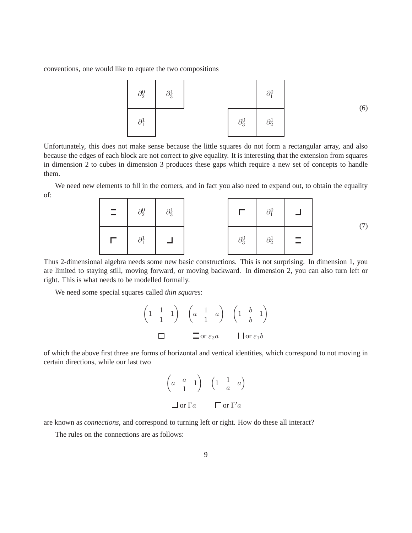conventions, one would like to equate the two compositions



Unfortunately, this does not make sense because the little squares do not form a rectangular array, and also because the edges of each block are not correct to give equality. It is interesting that the extension from squares in dimension 2 to cubes in dimension 3 produces these gaps which require a new set of concepts to handle them.

We need new elements to fill in the corners, and in fact you also need to expand out, to obtain the equality of:



Thus 2-dimensional algebra needs some new basic constructions. This is not surprising. In dimension 1, you are limited to staying still, moving forward, or moving backward. In dimension 2, you can also turn left or right. This is what needs to be modelled formally.

We need some special squares called *thin squares*:

| $\sim$<br>$\boldsymbol{\mathit{u}}$ |                      |
|-------------------------------------|----------------------|
| or $\varepsilon_2 a$                | or $\varepsilon_1 b$ |

of which the above first three are forms of horizontal and vertical identities, which correspond to not moving in certain directions, while our last two

$$
\begin{pmatrix} a & a & 1 \ a & 1 & a \end{pmatrix} \quad \begin{pmatrix} 1 & 1 & a \ 1 & a & a \end{pmatrix}
$$
  
or 
$$
\Gamma a \qquad \Gamma a \qquad \Gamma a
$$

are known as *connections*, and correspond to turning left or right. How do these all interact?

The rules on the connections are as follows: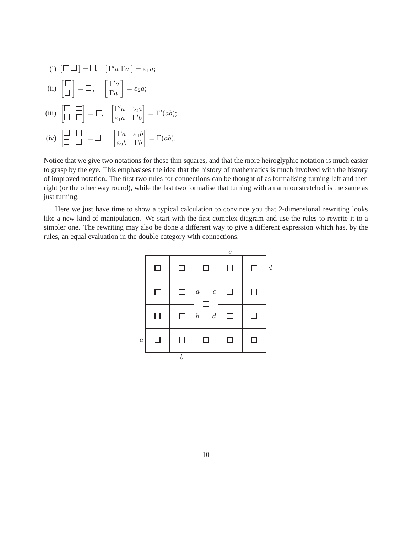(i) 
$$
[\Gamma \Box] = I \quad [\Gamma' a \Gamma a] = \varepsilon_1 a;
$$
  
\n(ii)  $\begin{bmatrix} \Gamma \\ \Box \end{bmatrix} = \Xi, \quad \begin{bmatrix} \Gamma' a \\ \Gamma a \end{bmatrix} = \varepsilon_2 a;$   
\n(iii)  $\begin{bmatrix} \Gamma & \Xi \\ \Gamma I & \Gamma \end{bmatrix} = \Gamma, \quad \begin{bmatrix} \Gamma' a & \varepsilon_2 a \\ \varepsilon_1 a & \Gamma' b \end{bmatrix} = \Gamma'(ab);$   
\n(iv)  $\begin{bmatrix} \Xi & I \\ \Xi & \Box \end{bmatrix} = \Box, \quad \begin{bmatrix} \Gamma a & \varepsilon_1 b \\ \varepsilon_2 b & \Gamma b \end{bmatrix} = \Gamma(ab).$ 

Notice that we give two notations for these thin squares, and that the more heiroglyphic notation is much easier to grasp by the eye. This emphasises the idea that the history of mathematics is much involved with the history of improved notation. The first two rules for connections can be thought of as formalising turning left and then right (or the other way round), while the last two formalise that turning with an arm outstretched is the same as just turning.

Here we just have time to show a typical calculation to convince you that 2-dimensional rewriting looks like a new kind of manipulation. We start with the first complex diagram and use the rules to rewrite it to a simpler one. The rewriting may also be done a different way to give a different expression which has, by the rules, an equal evaluation in the double category with connections.

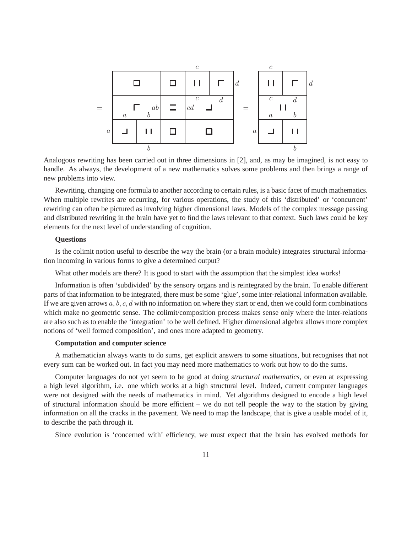

Analogous rewriting has been carried out in three dimensions in [2], and, as may be imagined, is not easy to handle. As always, the development of a new mathematics solves some problems and then brings a range of new problems into view.

Rewriting, changing one formula to another according to certain rules, is a basic facet of much mathematics. When multiple rewrites are occurring, for various operations, the study of this 'distributed' or 'concurrent' rewriting can often be pictured as involving higher dimensional laws. Models of the complex message passing and distributed rewriting in the brain have yet to find the laws relevant to that context. Such laws could be key elements for the next level of understanding of cognition.

## **Questions**

Is the colimit notion useful to describe the way the brain (or a brain module) integrates structural information incoming in various forms to give a determined output?

What other models are there? It is good to start with the assumption that the simplest idea works!

Information is often 'subdivided' by the sensory organs and is reintegrated by the brain. To enable different parts of that information to be integrated, there must be some 'glue', some inter-relational information available. If we are given arrows  $a, b, c, d$  with no information on where they start or end, then we could form combinations which make no geometric sense. The colimit/composition process makes sense only where the inter-relations are also such as to enable the 'integration' to be well defined. Higher dimensional algebra allows more complex notions of 'well formed composition', and ones more adapted to geometry.

### **Computation and computer science**

A mathematician always wants to do sums, get explicit answers to some situations, but recognises that not every sum can be worked out. In fact you may need more mathematics to work out how to do the sums.

Computer languages do not yet seem to be good at doing *structural mathematics*, or even at expressing a high level algorithm, i.e. one which works at a high structural level. Indeed, current computer languages were not designed with the needs of mathematics in mind. Yet algorithms designed to encode a high level of structural information should be more efficient – we do not tell people the way to the station by giving information on all the cracks in the pavement. We need to map the landscape, that is give a usable model of it, to describe the path through it.

Since evolution is 'concerned with' efficiency, we must expect that the brain has evolved methods for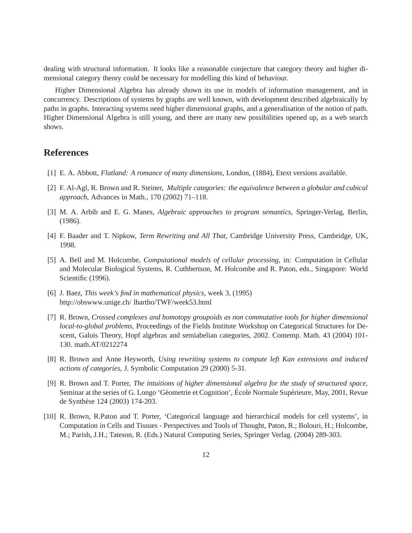dealing with structural information. It looks like a reasonable conjecture that category theory and higher dimensional category theory could be necessary for modelling this kind of behaviour.

Higher Dimensional Algebra has already shown its use in models of information management, and in concurrency. Descriptions of systems by graphs are well known, with development described algebraically by paths in graphs. Interacting systems need higher dimensional graphs, and a generalisation of the notion of path. Higher Dimensional Algebra is still young, and there are many new possibilities opened up, as a web search shows.

# **References**

- [1] E. A. Abbott, *Flatland: A romance of many dimensions*, London, (1884), Etext versions available.
- [2] F. Al-Agl, R. Brown and R. Steiner, *Multiple categories: the equivalence between a globular and cubical approach*, Advances in Math., 170 (2002) 71–118.
- [3] M. A. Arbib and E. G. Manes, *Algebraic approaches to program semantics*, Springer-Verlag, Berlin, (1986).
- [4] F. Baader and T. Nipkow, *Term Rewriting and All That*, Cambridge University Press, Cambridge, UK, 1998.
- [5] A. Bell and M. Holcombe, *Computational models of cellular processing*, in: Computation in Cellular and Molecular Biological Systems, R. Cuthbertson, M. Holcombe and R. Paton, eds., Singapore: World Scientific (1996).
- [6] J. Baez, *This week's find in mathematical physics*, week 3, (1995) http://obswww.unige.ch/ lbartho/TWF/week53.html
- [7] R. Brown, *Crossed complexes and homotopy groupoids as non commutative tools for higher dimensional local-to-global problems*, Proceedings of the Fields Institute Workshop on Categorical Structures for Descent, Galois Theory, Hopf algebras and semiabelian categories, 2002. Contemp. Math. 43 (2004) 101- 130. math.AT/0212274
- [8] R. Brown and Anne Heyworth, *Using rewriting systems to compute left Kan extensions and induced actions of categories*, J. Symbolic Computation 29 (2000) 5-31.
- [9] R. Brown and T. Porter, *The intuitions of higher dimensional algebra for the study of structured space*, Seminar at the series of G. Longo 'Géometrie et Cognition', École Normale Supérieure, May, 2001, Revue de Synthèse 124 (2003) 174-203.
- [10] R. Brown, R.Paton and T. Porter, 'Categorical language and hierarchical models for cell systems', in Computation in Cells and Tissues - Perspectives and Tools of Thought, Paton, R.; Bolouri, H.; Holcombe, M.; Parish, J.H.; Tateson, R. (Eds.) Natural Computing Series, Springer Verlag. (2004) 289-303.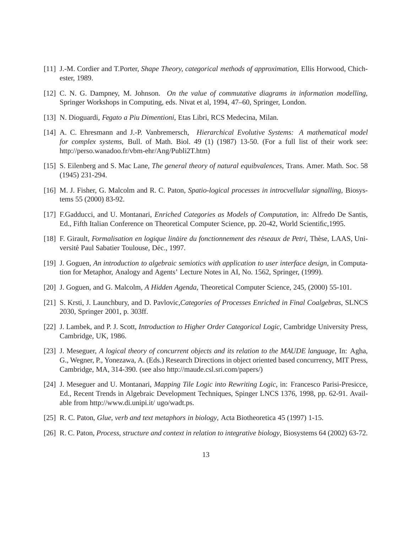- [11] J.-M. Cordier and T.Porter, *Shape Theory, categorical methods of approximation*, Ellis Horwood, Chichester, 1989.
- [12] C. N. G. Dampney, M. Johnson. *On the value of commutative diagrams in information modelling,* Springer Workshops in Computing, eds. Nivat et al, 1994, 47–60, Springer, London.
- [13] N. Dioguardi, *Fegato a Piu Dimentioni*, Etas Libri, RCS Medecina, Milan.
- [14] A. C. Ehresmann and J.-P. Vanbremersch, *Hierarchical Evolutive Systems: A mathematical model for complex systems*, Bull. of Math. Biol. 49 (1) (1987) 13-50. (For a full list of their work see: http://perso.wanadoo.fr/vbm-ehr/Ang/Publi2T.htm)
- [15] S. Eilenberg and S. Mac Lane, *The general theory of natural equibvalences*, Trans. Amer. Math. Soc. 58 (1945) 231-294.
- [16] M. J. Fisher, G. Malcolm and R. C. Paton, *Spatio-logical processes in introcvellular signalling*, Biosystems 55 (2000) 83-92.
- [17] F.Gadducci, and U. Montanari, *Enriched Categories as Models of Computation*, in: Alfredo De Santis, Ed., Fifth Italian Conference on Theoretical Computer Science, pp. 20-42, World Scientific,1995.
- [18] F. Girault, *Formalisation en logique linaire du fonctionnement des r ´ eseaux de Petri ´* , Th`ese, LAAS, Université Paul Sabatier Toulouse, Déc., 1997.
- [19] J. Goguen, *An introduction to algebraic semiotics with application to user interface design*, in Computation for Metaphor, Analogy and Agents' Lecture Notes in AI, No. 1562, Springer, (1999).
- [20] J. Goguen, and G. Malcolm, *A Hidden Agenda*, Theoretical Computer Science, 245, (2000) 55-101.
- [21] S. Krsti, J. Launchbury, and D. Pavlovic,*Categories of Processes Enriched in Final Coalgebras*, SLNCS 2030, Springer 2001, p. 303ff.
- [22] J. Lambek, and P. J. Scott, *Introduction to Higher Order Categorical Logic*, Cambridge University Press, Cambridge, UK, 1986.
- [23] J. Meseguer, *A logical theory of concurrent objects and its relation to the MAUDE language*, In: Agha, G., Wegner, P., Yonezawa, A. (Eds.) Research Directions in object oriented based concurrency, MIT Press, Cambridge, MA, 314-390. (see also http://maude.csl.sri.com/papers/)
- [24] J. Meseguer and U. Montanari, *Mapping Tile Logic into Rewriting Logic*, in: Francesco Parisi-Presicce, Ed., Recent Trends in Algebraic Development Techniques, Spinger LNCS 1376, 1998, pp. 62-91. Available from http://www.di.unipi.it/ ugo/wadt.ps.
- [25] R. C. Paton, *Glue, verb and text metaphors in biology*, Acta Biotheoretica 45 (1997) 1-15.
- [26] R. C. Paton, *Process, structure and context in relation to integrative biology*, Biosystems 64 (2002) 63-72.